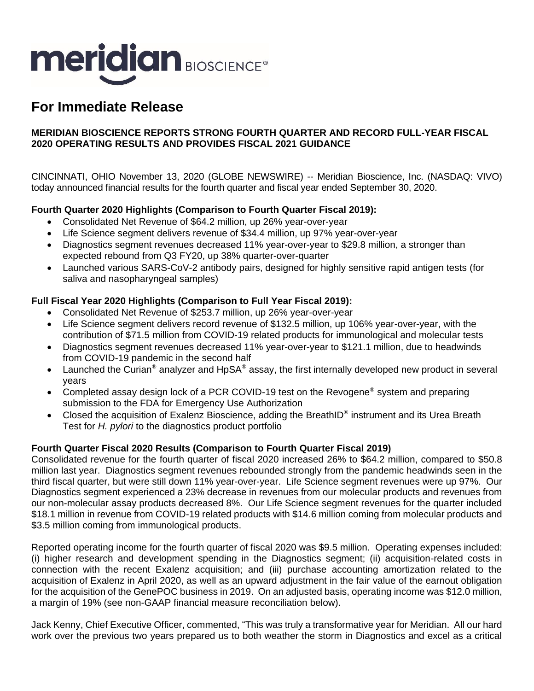# **meridian BIOSCIENCE®**

# **For Immediate Release**

# **MERIDIAN BIOSCIENCE REPORTS STRONG FOURTH QUARTER AND RECORD FULL-YEAR FISCAL 2020 OPERATING RESULTS AND PROVIDES FISCAL 2021 GUIDANCE**

CINCINNATI, OHIO November 13, 2020 (GLOBE NEWSWIRE) -- Meridian Bioscience, Inc. (NASDAQ: VIVO) today announced financial results for the fourth quarter and fiscal year ended September 30, 2020.

# **Fourth Quarter 2020 Highlights (Comparison to Fourth Quarter Fiscal 2019):**

- Consolidated Net Revenue of \$64.2 million, up 26% year-over-year
- Life Science segment delivers revenue of \$34.4 million, up 97% year-over-year
- Diagnostics segment revenues decreased 11% year-over-year to \$29.8 million, a stronger than expected rebound from Q3 FY20, up 38% quarter-over-quarter
- Launched various SARS-CoV-2 antibody pairs, designed for highly sensitive rapid antigen tests (for saliva and nasopharyngeal samples)

# **Full Fiscal Year 2020 Highlights (Comparison to Full Year Fiscal 2019):**

- Consolidated Net Revenue of \$253.7 million, up 26% year-over-year
- Life Science segment delivers record revenue of \$132.5 million, up 106% year-over-year, with the contribution of \$71.5 million from COVID-19 related products for immunological and molecular tests
- Diagnostics segment revenues decreased 11% year-over-year to \$121.1 million, due to headwinds from COVID-19 pandemic in the second half
- Launched the Curian<sup>®</sup> analyzer and HpSA<sup>®</sup> assay, the first internally developed new product in several years
- Completed assay design lock of a PCR COVID-19 test on the Revogene® system and preparing submission to the FDA for Emergency Use Authorization
- Closed the acquisition of Exalenz Bioscience, adding the BreathID<sup>®</sup> instrument and its Urea Breath Test for *H. pylori* to the diagnostics product portfolio

# **Fourth Quarter Fiscal 2020 Results (Comparison to Fourth Quarter Fiscal 2019)**

Consolidated revenue for the fourth quarter of fiscal 2020 increased 26% to \$64.2 million, compared to \$50.8 million last year. Diagnostics segment revenues rebounded strongly from the pandemic headwinds seen in the third fiscal quarter, but were still down 11% year-over-year. Life Science segment revenues were up 97%. Our Diagnostics segment experienced a 23% decrease in revenues from our molecular products and revenues from our non-molecular assay products decreased 8%. Our Life Science segment revenues for the quarter included \$18.1 million in revenue from COVID-19 related products with \$14.6 million coming from molecular products and \$3.5 million coming from immunological products.

Reported operating income for the fourth quarter of fiscal 2020 was \$9.5 million. Operating expenses included: (i) higher research and development spending in the Diagnostics segment; (ii) acquisition-related costs in connection with the recent Exalenz acquisition; and (iii) purchase accounting amortization related to the acquisition of Exalenz in April 2020, as well as an upward adjustment in the fair value of the earnout obligation for the acquisition of the GenePOC business in 2019. On an adjusted basis, operating income was \$12.0 million, a margin of 19% (see non-GAAP financial measure reconciliation below).

Jack Kenny, Chief Executive Officer, commented, "This was truly a transformative year for Meridian. All our hard work over the previous two years prepared us to both weather the storm in Diagnostics and excel as a critical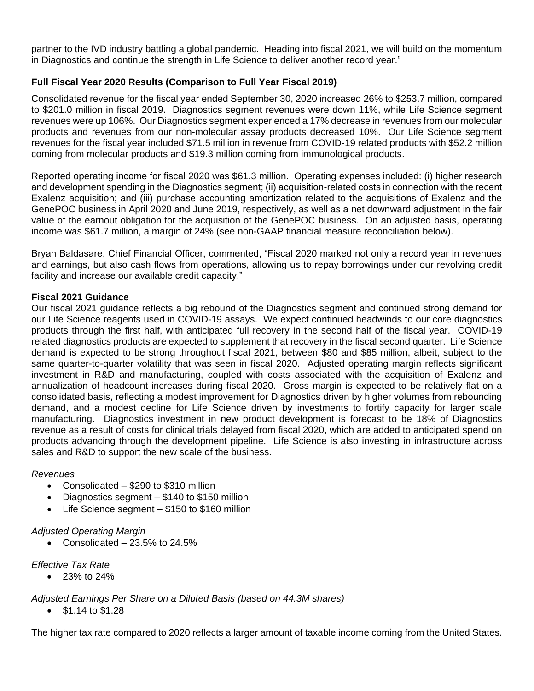partner to the IVD industry battling a global pandemic. Heading into fiscal 2021, we will build on the momentum in Diagnostics and continue the strength in Life Science to deliver another record year."

# **Full Fiscal Year 2020 Results (Comparison to Full Year Fiscal 2019)**

Consolidated revenue for the fiscal year ended September 30, 2020 increased 26% to \$253.7 million, compared to \$201.0 million in fiscal 2019. Diagnostics segment revenues were down 11%, while Life Science segment revenues were up 106%. Our Diagnostics segment experienced a 17% decrease in revenues from our molecular products and revenues from our non-molecular assay products decreased 10%. Our Life Science segment revenues for the fiscal year included \$71.5 million in revenue from COVID-19 related products with \$52.2 million coming from molecular products and \$19.3 million coming from immunological products.

Reported operating income for fiscal 2020 was \$61.3 million. Operating expenses included: (i) higher research and development spending in the Diagnostics segment; (ii) acquisition-related costs in connection with the recent Exalenz acquisition; and (iii) purchase accounting amortization related to the acquisitions of Exalenz and the GenePOC business in April 2020 and June 2019, respectively, as well as a net downward adjustment in the fair value of the earnout obligation for the acquisition of the GenePOC business. On an adjusted basis, operating income was \$61.7 million, a margin of 24% (see non-GAAP financial measure reconciliation below).

Bryan Baldasare, Chief Financial Officer, commented, "Fiscal 2020 marked not only a record year in revenues and earnings, but also cash flows from operations, allowing us to repay borrowings under our revolving credit facility and increase our available credit capacity."

#### **Fiscal 2021 Guidance**

Our fiscal 2021 guidance reflects a big rebound of the Diagnostics segment and continued strong demand for our Life Science reagents used in COVID-19 assays. We expect continued headwinds to our core diagnostics products through the first half, with anticipated full recovery in the second half of the fiscal year. COVID-19 related diagnostics products are expected to supplement that recovery in the fiscal second quarter. Life Science demand is expected to be strong throughout fiscal 2021, between \$80 and \$85 million, albeit, subject to the same quarter-to-quarter volatility that was seen in fiscal 2020. Adjusted operating margin reflects significant investment in R&D and manufacturing, coupled with costs associated with the acquisition of Exalenz and annualization of headcount increases during fiscal 2020. Gross margin is expected to be relatively flat on a consolidated basis, reflecting a modest improvement for Diagnostics driven by higher volumes from rebounding demand, and a modest decline for Life Science driven by investments to fortify capacity for larger scale manufacturing. Diagnostics investment in new product development is forecast to be 18% of Diagnostics revenue as a result of costs for clinical trials delayed from fiscal 2020, which are added to anticipated spend on products advancing through the development pipeline. Life Science is also investing in infrastructure across sales and R&D to support the new scale of the business.

#### *Revenues*

- Consolidated \$290 to \$310 million
- Diagnostics segment \$140 to \$150 million
- Life Science segment \$150 to \$160 million

#### *Adjusted Operating Margin*

• Consolidated  $-23.5%$  to 24.5%

#### *Effective Tax Rate*

• 23% to 24%

# *Adjusted Earnings Per Share on a Diluted Basis (based on 44.3M shares)*

• \$1.14 to \$1.28

The higher tax rate compared to 2020 reflects a larger amount of taxable income coming from the United States.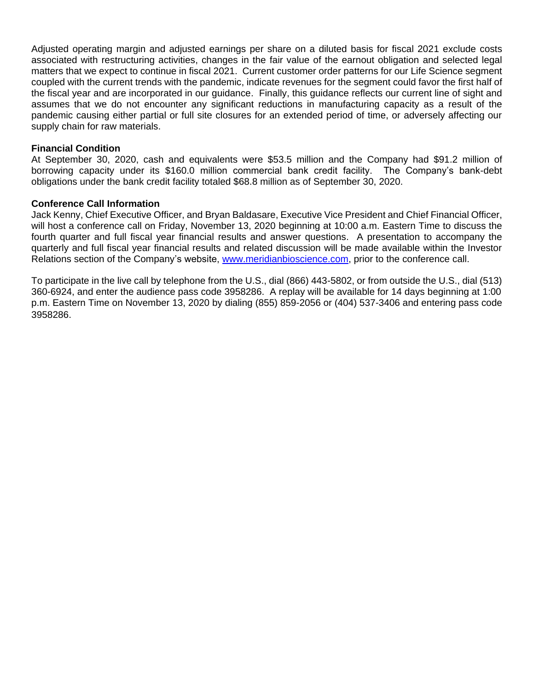Adjusted operating margin and adjusted earnings per share on a diluted basis for fiscal 2021 exclude costs associated with restructuring activities, changes in the fair value of the earnout obligation and selected legal matters that we expect to continue in fiscal 2021. Current customer order patterns for our Life Science segment coupled with the current trends with the pandemic, indicate revenues for the segment could favor the first half of the fiscal year and are incorporated in our guidance. Finally, this guidance reflects our current line of sight and assumes that we do not encounter any significant reductions in manufacturing capacity as a result of the pandemic causing either partial or full site closures for an extended period of time, or adversely affecting our supply chain for raw materials.

#### **Financial Condition**

At September 30, 2020, cash and equivalents were \$53.5 million and the Company had \$91.2 million of borrowing capacity under its \$160.0 million commercial bank credit facility. The Company's bank-debt obligations under the bank credit facility totaled \$68.8 million as of September 30, 2020.

#### **Conference Call Information**

Jack Kenny, Chief Executive Officer, and Bryan Baldasare, Executive Vice President and Chief Financial Officer, will host a conference call on Friday, November 13, 2020 beginning at 10:00 a.m. Eastern Time to discuss the fourth quarter and full fiscal year financial results and answer questions. A presentation to accompany the quarterly and full fiscal year financial results and related discussion will be made available within the Investor Relations section of the Company's website, [www.meridianbioscience.com,](http://www.meridianbioscience.com/) prior to the conference call.

To participate in the live call by telephone from the U.S., dial (866) 443-5802, or from outside the U.S., dial (513) 360-6924, and enter the audience pass code 3958286. A replay will be available for 14 days beginning at 1:00 p.m. Eastern Time on November 13, 2020 by dialing (855) 859-2056 or (404) 537-3406 and entering pass code 3958286.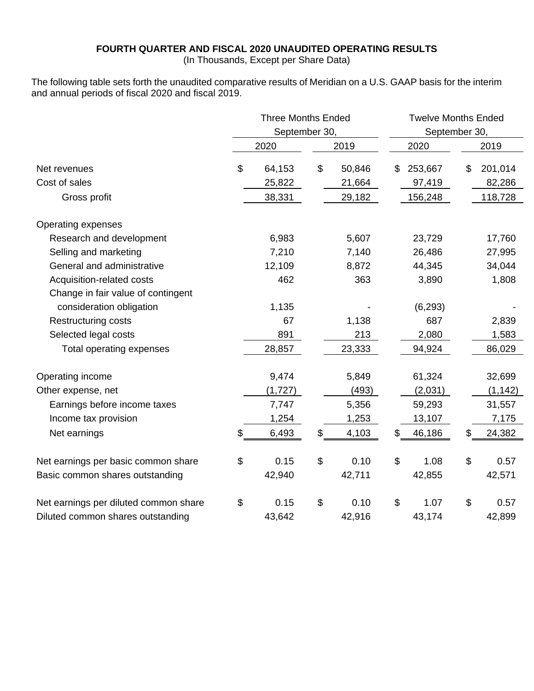# **FOURTH QUARTER AND FISCAL 2020 UNAUDITED OPERATING RESULTS**

(In Thousands, Except per Share Data)

The following table sets forth the unaudited comparative results of Meridian on a U.S. GAAP basis for the interim and annual periods of fiscal 2020 and fiscal 2019.

|                                       | <b>Three Months Ended</b><br>September 30, |      |        | <b>Twelve Months Ended</b><br>September 30, |          |    |          |  |
|---------------------------------------|--------------------------------------------|------|--------|---------------------------------------------|----------|----|----------|--|
|                                       | 2020                                       | 2019 |        |                                             | 2020     |    | 2019     |  |
| Net revenues                          | \$<br>64,153                               | \$   | 50,846 | \$                                          | 253,667  | \$ | 201,014  |  |
| Cost of sales                         | 25,822                                     |      | 21,664 |                                             | 97,419   |    | 82,286   |  |
| Gross profit                          | 38,331                                     |      | 29,182 |                                             | 156,248  |    | 118,728  |  |
| Operating expenses                    |                                            |      |        |                                             |          |    |          |  |
| Research and development              | 6,983                                      |      | 5,607  |                                             | 23,729   |    | 17,760   |  |
| Selling and marketing                 | 7,210                                      |      | 7,140  |                                             | 26,486   |    | 27,995   |  |
| General and administrative            | 12,109                                     |      | 8,872  |                                             | 44,345   |    | 34,044   |  |
| Acquisition-related costs             | 462                                        |      | 363    |                                             | 3,890    |    | 1,808    |  |
| Change in fair value of contingent    |                                            |      |        |                                             |          |    |          |  |
| consideration obligation              | 1,135                                      |      |        |                                             | (6, 293) |    |          |  |
| <b>Restructuring costs</b>            | 67                                         |      | 1,138  |                                             | 687      |    | 2,839    |  |
| Selected legal costs                  | 891                                        |      | 213    |                                             | 2,080    |    | 1,583    |  |
| Total operating expenses              | 28,857                                     |      | 23,333 |                                             | 94,924   |    | 86,029   |  |
| Operating income                      | 9,474                                      |      | 5,849  |                                             | 61,324   |    | 32,699   |  |
| Other expense, net                    | (1, 727)                                   |      | (493)  |                                             | (2,031)  |    | (1, 142) |  |
| Earnings before income taxes          | 7,747                                      |      | 5,356  |                                             | 59,293   |    | 31,557   |  |
| Income tax provision                  | 1,254                                      |      | 1,253  |                                             | 13,107   |    | 7,175    |  |
| Net earnings                          | \$<br>6,493                                | \$   | 4,103  | \$                                          | 46,186   | \$ | 24,382   |  |
| Net earnings per basic common share   | \$<br>0.15                                 | \$   | 0.10   | \$                                          | 1.08     | \$ | 0.57     |  |
| Basic common shares outstanding       | 42,940                                     |      | 42,711 |                                             | 42,855   |    | 42,571   |  |
| Net earnings per diluted common share | \$<br>0.15                                 | \$   | 0.10   | \$                                          | 1.07     | \$ | 0.57     |  |
| Diluted common shares outstanding     | 43,642                                     |      | 42,916 |                                             | 43,174   |    | 42,899   |  |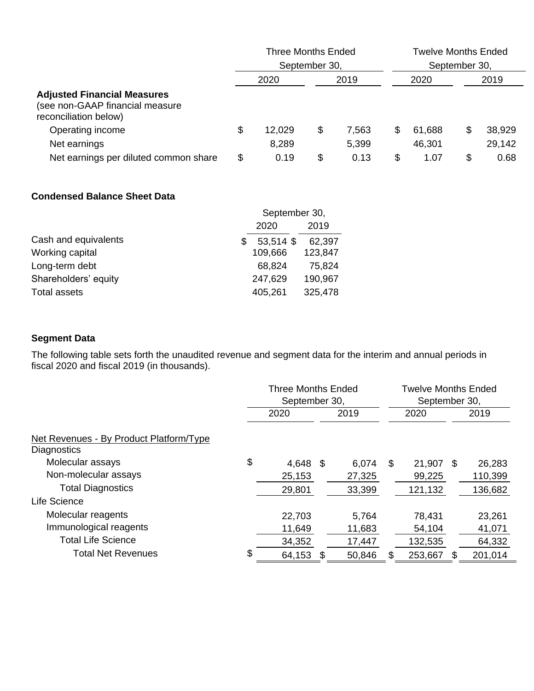|                                                                                                | Three Months Ended<br>September 30, |        |    |       |    | Twelve Months Ended<br>September 30, |    |        |  |
|------------------------------------------------------------------------------------------------|-------------------------------------|--------|----|-------|----|--------------------------------------|----|--------|--|
|                                                                                                | 2020<br>2019                        |        |    |       |    | 2020                                 |    | 2019   |  |
| <b>Adjusted Financial Measures</b><br>(see non-GAAP financial measure<br>reconciliation below) |                                     |        |    |       |    |                                      |    |        |  |
| Operating income                                                                               | \$                                  | 12,029 | \$ | 7,563 | \$ | 61,688                               | \$ | 38,929 |  |
| Net earnings                                                                                   |                                     | 8,289  |    | 5,399 |    | 46,301                               |    | 29,142 |  |
| Net earnings per diluted common share                                                          | S                                   | 0.19   | \$ | 0.13  | S  | 1.07                                 | \$ | 0.68   |  |

## **Condensed Balance Sheet Data**

|                      | September 30, |           |         |  |  |  |  |
|----------------------|---------------|-----------|---------|--|--|--|--|
|                      |               | 2020      | 2019    |  |  |  |  |
| Cash and equivalents |               | 53,514 \$ | 62,397  |  |  |  |  |
| Working capital      |               | 109,666   | 123,847 |  |  |  |  |
| Long-term debt       |               | 68,824    | 75,824  |  |  |  |  |
| Shareholders' equity |               | 247,629   | 190,967 |  |  |  |  |
| <b>Total assets</b>  |               | 405,261   | 325,478 |  |  |  |  |

# **Segment Data**

The following table sets forth the unaudited revenue and segment data for the interim and annual periods in fiscal 2020 and fiscal 2019 (in thousands).

|                                         | <b>Three Months Ended</b><br>September 30, |  |        | <b>Twelve Months Ended</b><br>September 30, |         |     |         |
|-----------------------------------------|--------------------------------------------|--|--------|---------------------------------------------|---------|-----|---------|
|                                         | 2020                                       |  | 2019   |                                             | 2020    |     | 2019    |
| Net Revenues - By Product Platform/Type |                                            |  |        |                                             |         |     |         |
| Diagnostics                             |                                            |  |        |                                             |         |     |         |
| Molecular assays                        | \$<br>4,648 \$                             |  | 6,074  | \$                                          | 21,907  | \$. | 26,283  |
| Non-molecular assays                    | 25,153                                     |  | 27,325 |                                             | 99,225  |     | 110,399 |
| <b>Total Diagnostics</b>                | 29,801                                     |  | 33,399 |                                             | 121,132 |     | 136,682 |
| Life Science                            |                                            |  |        |                                             |         |     |         |
| Molecular reagents                      | 22,703                                     |  | 5,764  |                                             | 78,431  |     | 23,261  |
| Immunological reagents                  | 11,649                                     |  | 11,683 |                                             | 54,104  |     | 41,071  |
| <b>Total Life Science</b>               | 34,352                                     |  | 17,447 |                                             | 132,535 |     | 64,332  |
| <b>Total Net Revenues</b>               | \$<br>64,153                               |  | 50,846 | S                                           | 253,667 |     | 201,014 |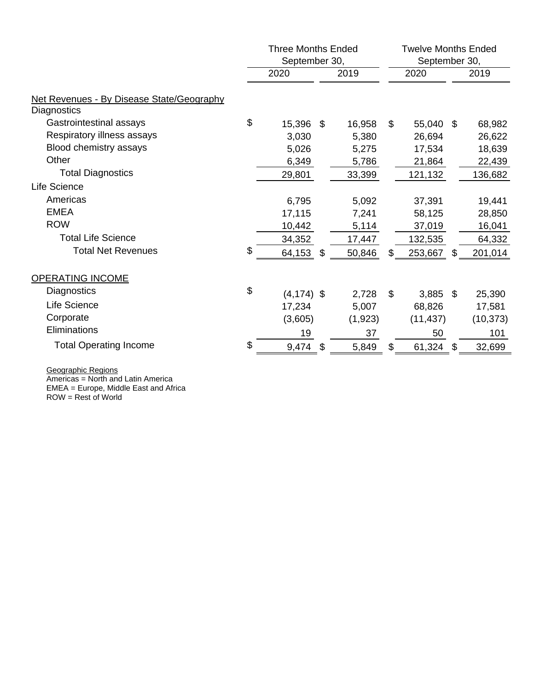|                                                          |      | <b>Three Months Ended</b><br>September 30, |    |         |                | <b>Twelve Months Ended</b><br>September 30, |     |           |
|----------------------------------------------------------|------|--------------------------------------------|----|---------|----------------|---------------------------------------------|-----|-----------|
|                                                          | 2020 |                                            |    | 2019    |                | 2020                                        |     | 2019      |
| Net Revenues - By Disease State/Geography<br>Diagnostics |      |                                            |    |         |                |                                             |     |           |
| Gastrointestinal assays                                  | \$   | 15,396                                     | \$ | 16,958  | \$             | 55,040                                      | -\$ | 68,982    |
| Respiratory illness assays                               |      | 3,030                                      |    | 5,380   |                | 26,694                                      |     | 26,622    |
| Blood chemistry assays                                   |      | 5,026                                      |    | 5,275   |                | 17,534                                      |     | 18,639    |
| Other                                                    |      | 6,349                                      |    | 5,786   |                | 21,864                                      |     | 22,439    |
| <b>Total Diagnostics</b>                                 |      | 29,801                                     |    | 33,399  |                | 121,132                                     |     | 136,682   |
| Life Science                                             |      |                                            |    |         |                |                                             |     |           |
| Americas                                                 |      | 6,795                                      |    | 5,092   |                | 37,391                                      |     | 19,441    |
| <b>EMEA</b>                                              |      | 17,115                                     |    | 7,241   |                | 58,125                                      |     | 28,850    |
| <b>ROW</b>                                               |      | 10,442                                     |    | 5,114   |                | 37,019                                      |     | 16,041    |
| <b>Total Life Science</b>                                |      | 34,352                                     |    | 17,447  |                | 132,535                                     |     | 64,332    |
| <b>Total Net Revenues</b>                                | \$   | 64,153                                     | \$ | 50,846  | \$             | 253,667                                     | \$  | 201,014   |
| <b>OPERATING INCOME</b>                                  |      |                                            |    |         |                |                                             |     |           |
| Diagnostics                                              | \$   | $(4, 174)$ \$                              |    | 2,728   | $\mathfrak{S}$ | $3,885$ \$                                  |     | 25,390    |
| Life Science                                             |      | 17,234                                     |    | 5,007   |                | 68,826                                      |     | 17,581    |
| Corporate                                                |      | (3,605)                                    |    | (1,923) |                | (11, 437)                                   |     | (10, 373) |
| Eliminations                                             |      | 19                                         |    | 37      |                | 50                                          |     | 101       |
| <b>Total Operating Income</b>                            | \$   | 9,474                                      | \$ | 5,849   | \$             | 61,324                                      | \$  | 32,699    |

Geographic Regions

Americas = North and Latin America EMEA = Europe, Middle East and Africa ROW = Rest of World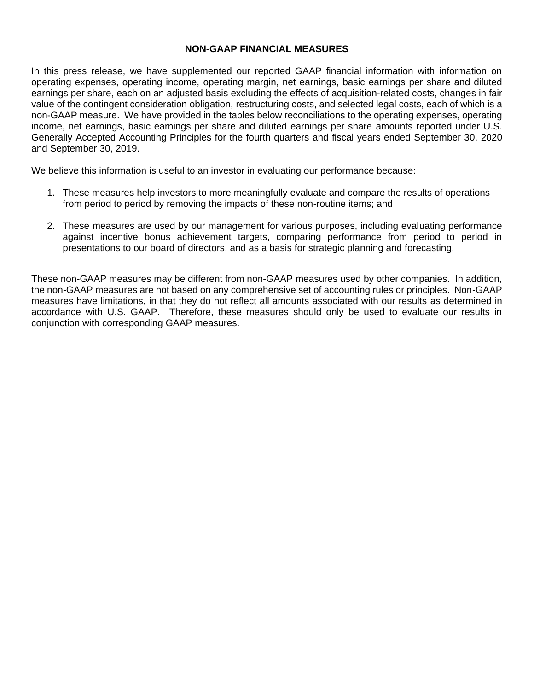#### **NON-GAAP FINANCIAL MEASURES**

In this press release, we have supplemented our reported GAAP financial information with information on operating expenses, operating income, operating margin, net earnings, basic earnings per share and diluted earnings per share, each on an adjusted basis excluding the effects of acquisition-related costs, changes in fair value of the contingent consideration obligation, restructuring costs, and selected legal costs, each of which is a non-GAAP measure. We have provided in the tables below reconciliations to the operating expenses, operating income, net earnings, basic earnings per share and diluted earnings per share amounts reported under U.S. Generally Accepted Accounting Principles for the fourth quarters and fiscal years ended September 30, 2020 and September 30, 2019.

We believe this information is useful to an investor in evaluating our performance because:

- 1. These measures help investors to more meaningfully evaluate and compare the results of operations from period to period by removing the impacts of these non-routine items; and
- 2. These measures are used by our management for various purposes, including evaluating performance against incentive bonus achievement targets, comparing performance from period to period in presentations to our board of directors, and as a basis for strategic planning and forecasting.

These non-GAAP measures may be different from non-GAAP measures used by other companies. In addition, the non-GAAP measures are not based on any comprehensive set of accounting rules or principles. Non-GAAP measures have limitations, in that they do not reflect all amounts associated with our results as determined in accordance with U.S. GAAP. Therefore, these measures should only be used to evaluate our results in conjunction with corresponding GAAP measures.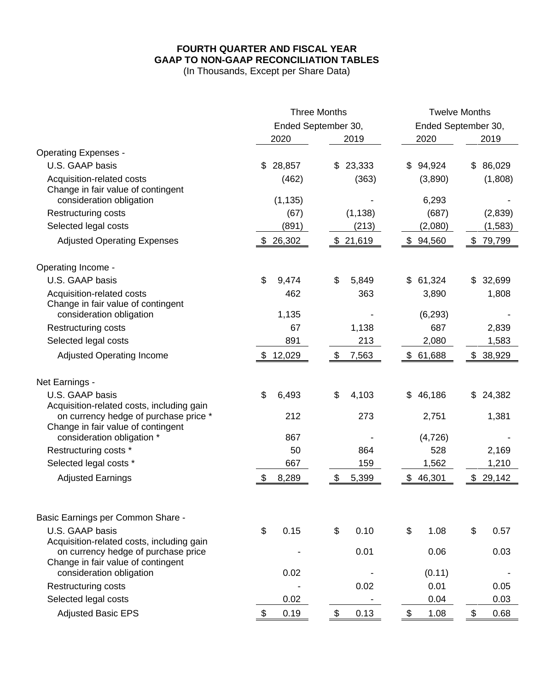# **FOURTH QUARTER AND FISCAL YEAR GAAP TO NON-GAAP RECONCILIATION TABLES**

(In Thousands, Except per Share Data)

| Ended September 30,<br>Ended September 30,<br>2020<br>2019<br>2020<br>2019<br><b>Operating Expenses -</b><br>U.S. GAAP basis<br>28,857<br>23,333<br>\$94,924<br>\$86,029<br>\$<br>\$<br>Acquisition-related costs<br>(462)<br>(363)<br>(3,890)<br>(1,808)<br>Change in fair value of contingent<br>consideration obligation<br>(1, 135)<br>6,293<br>(67)<br>(1, 138)<br>(687)<br>(2,839)<br><b>Restructuring costs</b><br>Selected legal costs<br>(891)<br>(213)<br>(2,080)<br>(1, 583)<br>\$26,302<br>\$21,619<br>\$94,560<br>\$79,799<br><b>Adjusted Operating Expenses</b><br>Operating Income -<br>\$<br>U.S. GAAP basis<br>5,849<br>9,474<br>\$<br>\$61,324<br>\$32,699<br>Acquisition-related costs<br>462<br>363<br>3,890<br>1,808<br>Change in fair value of contingent<br>consideration obligation<br>1,135<br>(6, 293)<br>67<br>687<br><b>Restructuring costs</b><br>1,138<br>2,839<br>Selected legal costs<br>891<br>213<br>2,080<br>1,583<br>\$12,029<br>7,563<br>\$61,688<br>\$38,929<br><b>Adjusted Operating Income</b><br>\$<br>Net Earnings -<br>U.S. GAAP basis<br>\$<br>\$<br>\$46,186<br>6,493<br>4,103<br>\$24,382<br>Acquisition-related costs, including gain<br>212<br>273<br>on currency hedge of purchase price *<br>2,751<br>1,381<br>Change in fair value of contingent<br>867<br>consideration obligation *<br>(4, 726)<br>528<br>Restructuring costs *<br>50<br>864<br>2,169<br>Selected legal costs *<br>667<br>1,562<br>159<br>1,210<br>8,289<br>\$<br>5,399<br>46,301<br>29,142<br><b>Adjusted Earnings</b><br>\$<br>\$<br>\$<br>Basic Earnings per Common Share -<br>\$<br>U.S. GAAP basis<br>0.15<br>\$<br>0.10<br>\$<br>1.08<br>\$<br>0.57<br>Acquisition-related costs, including gain<br>on currency hedge of purchase price<br>0.01<br>0.06<br>0.03<br>Change in fair value of contingent<br>consideration obligation<br>(0.11)<br>0.02<br>0.02<br>0.01<br><b>Restructuring costs</b><br>0.05<br>Selected legal costs<br>0.02<br>0.04<br>0.03<br><b>Adjusted Basic EPS</b><br>0.13<br>0.19<br>\$<br>\$<br>1.08<br>0.68<br>\$<br>\$ |  | <b>Three Months</b> | <b>Twelve Months</b> |  |  |  |  |
|---------------------------------------------------------------------------------------------------------------------------------------------------------------------------------------------------------------------------------------------------------------------------------------------------------------------------------------------------------------------------------------------------------------------------------------------------------------------------------------------------------------------------------------------------------------------------------------------------------------------------------------------------------------------------------------------------------------------------------------------------------------------------------------------------------------------------------------------------------------------------------------------------------------------------------------------------------------------------------------------------------------------------------------------------------------------------------------------------------------------------------------------------------------------------------------------------------------------------------------------------------------------------------------------------------------------------------------------------------------------------------------------------------------------------------------------------------------------------------------------------------------------------------------------------------------------------------------------------------------------------------------------------------------------------------------------------------------------------------------------------------------------------------------------------------------------------------------------------------------------------------------------------------------------------------------------------------------------------------------------------------------------------------------------------------------------------|--|---------------------|----------------------|--|--|--|--|
|                                                                                                                                                                                                                                                                                                                                                                                                                                                                                                                                                                                                                                                                                                                                                                                                                                                                                                                                                                                                                                                                                                                                                                                                                                                                                                                                                                                                                                                                                                                                                                                                                                                                                                                                                                                                                                                                                                                                                                                                                                                                           |  |                     |                      |  |  |  |  |
|                                                                                                                                                                                                                                                                                                                                                                                                                                                                                                                                                                                                                                                                                                                                                                                                                                                                                                                                                                                                                                                                                                                                                                                                                                                                                                                                                                                                                                                                                                                                                                                                                                                                                                                                                                                                                                                                                                                                                                                                                                                                           |  |                     |                      |  |  |  |  |
|                                                                                                                                                                                                                                                                                                                                                                                                                                                                                                                                                                                                                                                                                                                                                                                                                                                                                                                                                                                                                                                                                                                                                                                                                                                                                                                                                                                                                                                                                                                                                                                                                                                                                                                                                                                                                                                                                                                                                                                                                                                                           |  |                     |                      |  |  |  |  |
|                                                                                                                                                                                                                                                                                                                                                                                                                                                                                                                                                                                                                                                                                                                                                                                                                                                                                                                                                                                                                                                                                                                                                                                                                                                                                                                                                                                                                                                                                                                                                                                                                                                                                                                                                                                                                                                                                                                                                                                                                                                                           |  |                     |                      |  |  |  |  |
|                                                                                                                                                                                                                                                                                                                                                                                                                                                                                                                                                                                                                                                                                                                                                                                                                                                                                                                                                                                                                                                                                                                                                                                                                                                                                                                                                                                                                                                                                                                                                                                                                                                                                                                                                                                                                                                                                                                                                                                                                                                                           |  |                     |                      |  |  |  |  |
|                                                                                                                                                                                                                                                                                                                                                                                                                                                                                                                                                                                                                                                                                                                                                                                                                                                                                                                                                                                                                                                                                                                                                                                                                                                                                                                                                                                                                                                                                                                                                                                                                                                                                                                                                                                                                                                                                                                                                                                                                                                                           |  |                     |                      |  |  |  |  |
|                                                                                                                                                                                                                                                                                                                                                                                                                                                                                                                                                                                                                                                                                                                                                                                                                                                                                                                                                                                                                                                                                                                                                                                                                                                                                                                                                                                                                                                                                                                                                                                                                                                                                                                                                                                                                                                                                                                                                                                                                                                                           |  |                     |                      |  |  |  |  |
|                                                                                                                                                                                                                                                                                                                                                                                                                                                                                                                                                                                                                                                                                                                                                                                                                                                                                                                                                                                                                                                                                                                                                                                                                                                                                                                                                                                                                                                                                                                                                                                                                                                                                                                                                                                                                                                                                                                                                                                                                                                                           |  |                     |                      |  |  |  |  |
|                                                                                                                                                                                                                                                                                                                                                                                                                                                                                                                                                                                                                                                                                                                                                                                                                                                                                                                                                                                                                                                                                                                                                                                                                                                                                                                                                                                                                                                                                                                                                                                                                                                                                                                                                                                                                                                                                                                                                                                                                                                                           |  |                     |                      |  |  |  |  |
|                                                                                                                                                                                                                                                                                                                                                                                                                                                                                                                                                                                                                                                                                                                                                                                                                                                                                                                                                                                                                                                                                                                                                                                                                                                                                                                                                                                                                                                                                                                                                                                                                                                                                                                                                                                                                                                                                                                                                                                                                                                                           |  |                     |                      |  |  |  |  |
|                                                                                                                                                                                                                                                                                                                                                                                                                                                                                                                                                                                                                                                                                                                                                                                                                                                                                                                                                                                                                                                                                                                                                                                                                                                                                                                                                                                                                                                                                                                                                                                                                                                                                                                                                                                                                                                                                                                                                                                                                                                                           |  |                     |                      |  |  |  |  |
|                                                                                                                                                                                                                                                                                                                                                                                                                                                                                                                                                                                                                                                                                                                                                                                                                                                                                                                                                                                                                                                                                                                                                                                                                                                                                                                                                                                                                                                                                                                                                                                                                                                                                                                                                                                                                                                                                                                                                                                                                                                                           |  |                     |                      |  |  |  |  |
|                                                                                                                                                                                                                                                                                                                                                                                                                                                                                                                                                                                                                                                                                                                                                                                                                                                                                                                                                                                                                                                                                                                                                                                                                                                                                                                                                                                                                                                                                                                                                                                                                                                                                                                                                                                                                                                                                                                                                                                                                                                                           |  |                     |                      |  |  |  |  |
|                                                                                                                                                                                                                                                                                                                                                                                                                                                                                                                                                                                                                                                                                                                                                                                                                                                                                                                                                                                                                                                                                                                                                                                                                                                                                                                                                                                                                                                                                                                                                                                                                                                                                                                                                                                                                                                                                                                                                                                                                                                                           |  |                     |                      |  |  |  |  |
|                                                                                                                                                                                                                                                                                                                                                                                                                                                                                                                                                                                                                                                                                                                                                                                                                                                                                                                                                                                                                                                                                                                                                                                                                                                                                                                                                                                                                                                                                                                                                                                                                                                                                                                                                                                                                                                                                                                                                                                                                                                                           |  |                     |                      |  |  |  |  |
|                                                                                                                                                                                                                                                                                                                                                                                                                                                                                                                                                                                                                                                                                                                                                                                                                                                                                                                                                                                                                                                                                                                                                                                                                                                                                                                                                                                                                                                                                                                                                                                                                                                                                                                                                                                                                                                                                                                                                                                                                                                                           |  |                     |                      |  |  |  |  |
|                                                                                                                                                                                                                                                                                                                                                                                                                                                                                                                                                                                                                                                                                                                                                                                                                                                                                                                                                                                                                                                                                                                                                                                                                                                                                                                                                                                                                                                                                                                                                                                                                                                                                                                                                                                                                                                                                                                                                                                                                                                                           |  |                     |                      |  |  |  |  |
|                                                                                                                                                                                                                                                                                                                                                                                                                                                                                                                                                                                                                                                                                                                                                                                                                                                                                                                                                                                                                                                                                                                                                                                                                                                                                                                                                                                                                                                                                                                                                                                                                                                                                                                                                                                                                                                                                                                                                                                                                                                                           |  |                     |                      |  |  |  |  |
|                                                                                                                                                                                                                                                                                                                                                                                                                                                                                                                                                                                                                                                                                                                                                                                                                                                                                                                                                                                                                                                                                                                                                                                                                                                                                                                                                                                                                                                                                                                                                                                                                                                                                                                                                                                                                                                                                                                                                                                                                                                                           |  |                     |                      |  |  |  |  |
|                                                                                                                                                                                                                                                                                                                                                                                                                                                                                                                                                                                                                                                                                                                                                                                                                                                                                                                                                                                                                                                                                                                                                                                                                                                                                                                                                                                                                                                                                                                                                                                                                                                                                                                                                                                                                                                                                                                                                                                                                                                                           |  |                     |                      |  |  |  |  |
|                                                                                                                                                                                                                                                                                                                                                                                                                                                                                                                                                                                                                                                                                                                                                                                                                                                                                                                                                                                                                                                                                                                                                                                                                                                                                                                                                                                                                                                                                                                                                                                                                                                                                                                                                                                                                                                                                                                                                                                                                                                                           |  |                     |                      |  |  |  |  |
|                                                                                                                                                                                                                                                                                                                                                                                                                                                                                                                                                                                                                                                                                                                                                                                                                                                                                                                                                                                                                                                                                                                                                                                                                                                                                                                                                                                                                                                                                                                                                                                                                                                                                                                                                                                                                                                                                                                                                                                                                                                                           |  |                     |                      |  |  |  |  |
|                                                                                                                                                                                                                                                                                                                                                                                                                                                                                                                                                                                                                                                                                                                                                                                                                                                                                                                                                                                                                                                                                                                                                                                                                                                                                                                                                                                                                                                                                                                                                                                                                                                                                                                                                                                                                                                                                                                                                                                                                                                                           |  |                     |                      |  |  |  |  |
|                                                                                                                                                                                                                                                                                                                                                                                                                                                                                                                                                                                                                                                                                                                                                                                                                                                                                                                                                                                                                                                                                                                                                                                                                                                                                                                                                                                                                                                                                                                                                                                                                                                                                                                                                                                                                                                                                                                                                                                                                                                                           |  |                     |                      |  |  |  |  |
|                                                                                                                                                                                                                                                                                                                                                                                                                                                                                                                                                                                                                                                                                                                                                                                                                                                                                                                                                                                                                                                                                                                                                                                                                                                                                                                                                                                                                                                                                                                                                                                                                                                                                                                                                                                                                                                                                                                                                                                                                                                                           |  |                     |                      |  |  |  |  |
|                                                                                                                                                                                                                                                                                                                                                                                                                                                                                                                                                                                                                                                                                                                                                                                                                                                                                                                                                                                                                                                                                                                                                                                                                                                                                                                                                                                                                                                                                                                                                                                                                                                                                                                                                                                                                                                                                                                                                                                                                                                                           |  |                     |                      |  |  |  |  |
|                                                                                                                                                                                                                                                                                                                                                                                                                                                                                                                                                                                                                                                                                                                                                                                                                                                                                                                                                                                                                                                                                                                                                                                                                                                                                                                                                                                                                                                                                                                                                                                                                                                                                                                                                                                                                                                                                                                                                                                                                                                                           |  |                     |                      |  |  |  |  |
|                                                                                                                                                                                                                                                                                                                                                                                                                                                                                                                                                                                                                                                                                                                                                                                                                                                                                                                                                                                                                                                                                                                                                                                                                                                                                                                                                                                                                                                                                                                                                                                                                                                                                                                                                                                                                                                                                                                                                                                                                                                                           |  |                     |                      |  |  |  |  |
|                                                                                                                                                                                                                                                                                                                                                                                                                                                                                                                                                                                                                                                                                                                                                                                                                                                                                                                                                                                                                                                                                                                                                                                                                                                                                                                                                                                                                                                                                                                                                                                                                                                                                                                                                                                                                                                                                                                                                                                                                                                                           |  |                     |                      |  |  |  |  |
|                                                                                                                                                                                                                                                                                                                                                                                                                                                                                                                                                                                                                                                                                                                                                                                                                                                                                                                                                                                                                                                                                                                                                                                                                                                                                                                                                                                                                                                                                                                                                                                                                                                                                                                                                                                                                                                                                                                                                                                                                                                                           |  |                     |                      |  |  |  |  |
|                                                                                                                                                                                                                                                                                                                                                                                                                                                                                                                                                                                                                                                                                                                                                                                                                                                                                                                                                                                                                                                                                                                                                                                                                                                                                                                                                                                                                                                                                                                                                                                                                                                                                                                                                                                                                                                                                                                                                                                                                                                                           |  |                     |                      |  |  |  |  |
|                                                                                                                                                                                                                                                                                                                                                                                                                                                                                                                                                                                                                                                                                                                                                                                                                                                                                                                                                                                                                                                                                                                                                                                                                                                                                                                                                                                                                                                                                                                                                                                                                                                                                                                                                                                                                                                                                                                                                                                                                                                                           |  |                     |                      |  |  |  |  |
|                                                                                                                                                                                                                                                                                                                                                                                                                                                                                                                                                                                                                                                                                                                                                                                                                                                                                                                                                                                                                                                                                                                                                                                                                                                                                                                                                                                                                                                                                                                                                                                                                                                                                                                                                                                                                                                                                                                                                                                                                                                                           |  |                     |                      |  |  |  |  |
|                                                                                                                                                                                                                                                                                                                                                                                                                                                                                                                                                                                                                                                                                                                                                                                                                                                                                                                                                                                                                                                                                                                                                                                                                                                                                                                                                                                                                                                                                                                                                                                                                                                                                                                                                                                                                                                                                                                                                                                                                                                                           |  |                     |                      |  |  |  |  |
|                                                                                                                                                                                                                                                                                                                                                                                                                                                                                                                                                                                                                                                                                                                                                                                                                                                                                                                                                                                                                                                                                                                                                                                                                                                                                                                                                                                                                                                                                                                                                                                                                                                                                                                                                                                                                                                                                                                                                                                                                                                                           |  |                     |                      |  |  |  |  |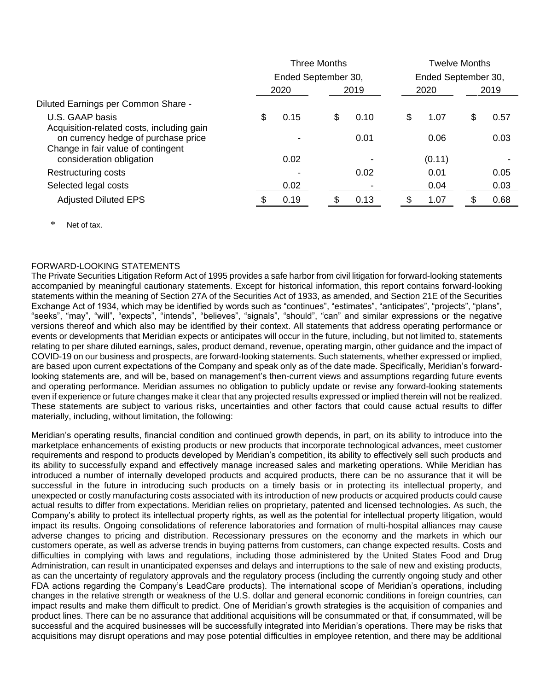| <b>Three Months</b> |      |      |      |      | <b>Twelve Months</b> |    |      |  |  |  |
|---------------------|------|------|------|------|----------------------|----|------|--|--|--|
| Ended September 30, |      |      |      |      | Ended September 30,  |    |      |  |  |  |
| 2020                |      | 2019 |      | 2020 |                      |    | 2019 |  |  |  |
|                     |      |      |      |      |                      |    |      |  |  |  |
| \$                  | 0.15 | \$   | 0.10 | \$   | 1.07                 | \$ | 0.57 |  |  |  |
|                     |      |      | 0.01 |      | 0.06                 |    | 0.03 |  |  |  |
|                     | 0.02 |      |      |      | (0.11)               |    |      |  |  |  |
|                     |      |      | 0.02 |      | 0.01                 |    | 0.05 |  |  |  |
|                     | 0.02 |      |      |      | 0.04                 |    | 0.03 |  |  |  |
|                     | 0.19 |      | 0.13 |      | 1.07                 |    | 0.68 |  |  |  |
|                     |      |      |      |      |                      |    |      |  |  |  |

Net of tax.

#### FORWARD-LOOKING STATEMENTS

The Private Securities Litigation Reform Act of 1995 provides a safe harbor from civil litigation for forward-looking statements accompanied by meaningful cautionary statements. Except for historical information, this report contains forward-looking statements within the meaning of Section 27A of the Securities Act of 1933, as amended, and Section 21E of the Securities Exchange Act of 1934, which may be identified by words such as "continues", "estimates", "anticipates", "projects", "plans", "seeks", "may", "will", "expects", "intends", "believes", "signals", "should", "can" and similar expressions or the negative versions thereof and which also may be identified by their context. All statements that address operating performance or events or developments that Meridian expects or anticipates will occur in the future, including, but not limited to, statements relating to per share diluted earnings, sales, product demand, revenue, operating margin, other guidance and the impact of COVID-19 on our business and prospects, are forward-looking statements. Such statements, whether expressed or implied, are based upon current expectations of the Company and speak only as of the date made. Specifically, Meridian's forwardlooking statements are, and will be, based on management's then-current views and assumptions regarding future events and operating performance. Meridian assumes no obligation to publicly update or revise any forward-looking statements even if experience or future changes make it clear that any projected results expressed or implied therein will not be realized. These statements are subject to various risks, uncertainties and other factors that could cause actual results to differ materially, including, without limitation, the following:

Meridian's operating results, financial condition and continued growth depends, in part, on its ability to introduce into the marketplace enhancements of existing products or new products that incorporate technological advances, meet customer requirements and respond to products developed by Meridian's competition, its ability to effectively sell such products and its ability to successfully expand and effectively manage increased sales and marketing operations. While Meridian has introduced a number of internally developed products and acquired products, there can be no assurance that it will be successful in the future in introducing such products on a timely basis or in protecting its intellectual property, and unexpected or costly manufacturing costs associated with its introduction of new products or acquired products could cause actual results to differ from expectations. Meridian relies on proprietary, patented and licensed technologies. As such, the Company's ability to protect its intellectual property rights, as well as the potential for intellectual property litigation, would impact its results. Ongoing consolidations of reference laboratories and formation of multi-hospital alliances may cause adverse changes to pricing and distribution. Recessionary pressures on the economy and the markets in which our customers operate, as well as adverse trends in buying patterns from customers, can change expected results. Costs and difficulties in complying with laws and regulations, including those administered by the United States Food and Drug Administration, can result in unanticipated expenses and delays and interruptions to the sale of new and existing products, as can the uncertainty of regulatory approvals and the regulatory process (including the currently ongoing study and other FDA actions regarding the Company's LeadCare products). The international scope of Meridian's operations, including changes in the relative strength or weakness of the U.S. dollar and general economic conditions in foreign countries, can impact results and make them difficult to predict. One of Meridian's growth strategies is the acquisition of companies and product lines. There can be no assurance that additional acquisitions will be consummated or that, if consummated, will be successful and the acquired businesses will be successfully integrated into Meridian's operations. There may be risks that acquisitions may disrupt operations and may pose potential difficulties in employee retention, and there may be additional